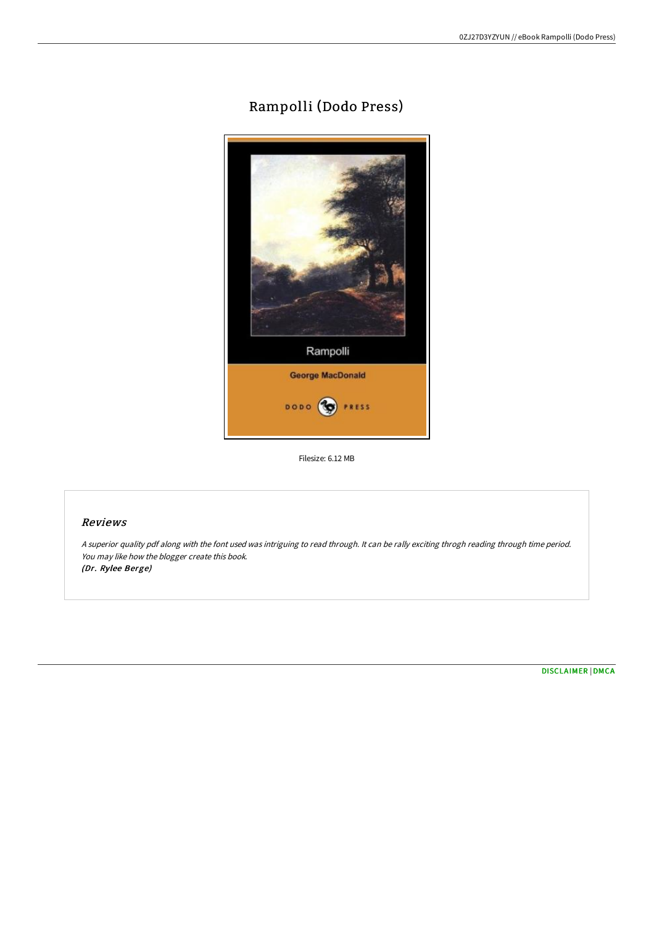# Rampolli (Dodo Press)



Filesize: 6.12 MB

#### Reviews

<sup>A</sup> superior quality pdf along with the font used was intriguing to read through. It can be rally exciting throgh reading through time period. You may like how the blogger create this book. (Dr. Rylee Berge)

[DISCLAIMER](http://techno-pub.tech/disclaimer.html) | [DMCA](http://techno-pub.tech/dmca.html)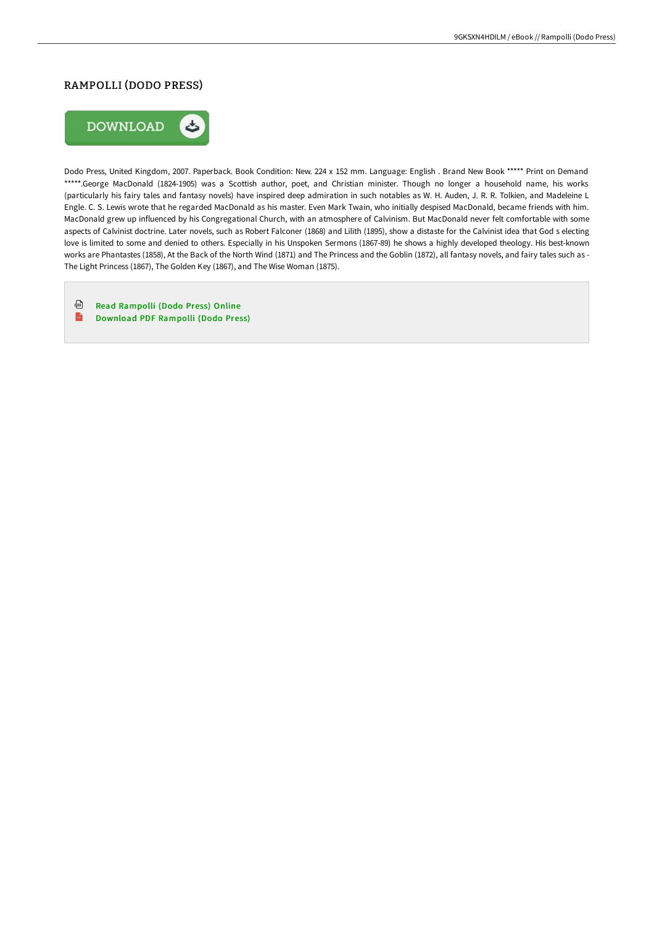### RAMPOLLI (DODO PRESS)



Dodo Press, United Kingdom, 2007. Paperback. Book Condition: New. 224 x 152 mm. Language: English . Brand New Book \*\*\*\*\* Print on Demand \*\*\*\*\*.George MacDonald (1824-1905) was a Scottish author, poet, and Christian minister. Though no longer a household name, his works (particularly his fairy tales and fantasy novels) have inspired deep admiration in such notables as W. H. Auden, J. R. R. Tolkien, and Madeleine L Engle. C. S. Lewis wrote that he regarded MacDonald as his master. Even Mark Twain, who initially despised MacDonald, became friends with him. MacDonald grew up influenced by his Congregational Church, with an atmosphere of Calvinism. But MacDonald never felt comfortable with some aspects of Calvinist doctrine. Later novels, such as Robert Falconer (1868) and Lilith (1895), show a distaste for the Calvinist idea that God s electing love is limited to some and denied to others. Especially in his Unspoken Sermons (1867-89) he shows a highly developed theology. His best-known works are Phantastes (1858), At the Back of the North Wind (1871) and The Princess and the Goblin (1872), all fantasy novels, and fairy tales such as - The Light Princess (1867), The Golden Key (1867), and The Wise Woman (1875).

⊕ Read [Rampolli](http://techno-pub.tech/rampolli-dodo-press-paperback.html) (Dodo Press) Online

 $\frac{2}{100}$ [Download](http://techno-pub.tech/rampolli-dodo-press-paperback.html) PDF Rampolli (Dodo Press)